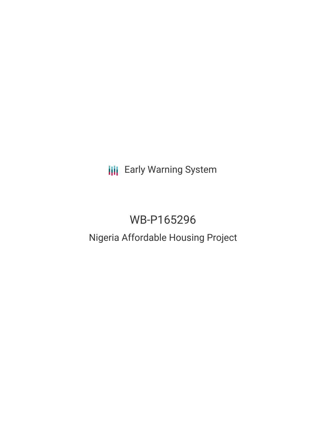**III** Early Warning System

# WB-P165296

# Nigeria Affordable Housing Project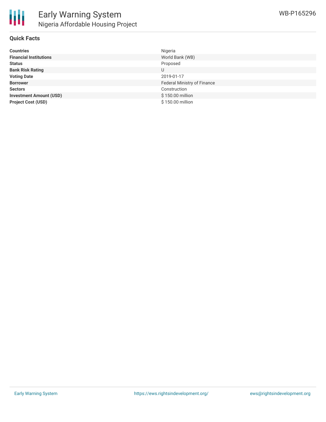

#### **Quick Facts**

| <b>Countries</b>               | Nigeria                     |
|--------------------------------|-----------------------------|
| <b>Financial Institutions</b>  | World Bank (WB)             |
| <b>Status</b>                  | Proposed                    |
| <b>Bank Risk Rating</b>        | U                           |
| <b>Voting Date</b>             | 2019-01-17                  |
| <b>Borrower</b>                | Federal Ministry of Finance |
| <b>Sectors</b>                 | Construction                |
| <b>Investment Amount (USD)</b> | \$150.00 million            |
| <b>Project Cost (USD)</b>      | \$150.00 million            |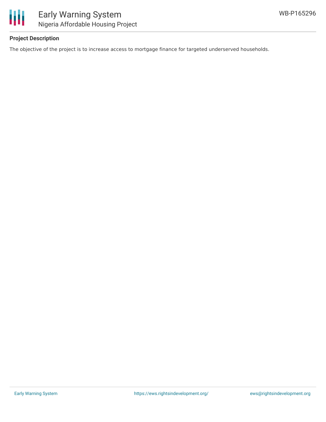

## **Project Description**

The objective of the project is to increase access to mortgage finance for targeted underserved households.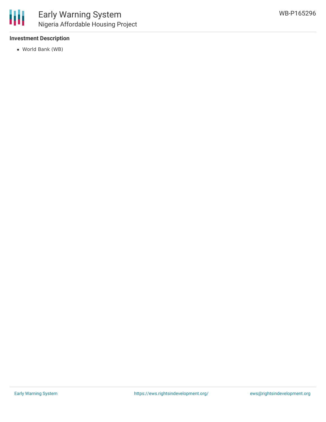

## **Investment Description**

World Bank (WB)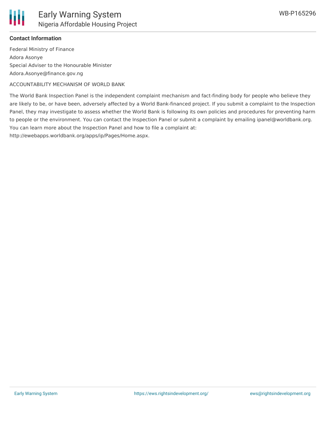

## **Contact Information**

Federal Ministry of Finance Adora Asonye Special Adviser to the Honourable Minister Adora.Asonye@finance.gov.ng

ACCOUNTABILITY MECHANISM OF WORLD BANK

The World Bank Inspection Panel is the independent complaint mechanism and fact-finding body for people who believe they are likely to be, or have been, adversely affected by a World Bank-financed project. If you submit a complaint to the Inspection Panel, they may investigate to assess whether the World Bank is following its own policies and procedures for preventing harm to people or the environment. You can contact the Inspection Panel or submit a complaint by emailing ipanel@worldbank.org. You can learn more about the Inspection Panel and how to file a complaint at:

http://ewebapps.worldbank.org/apps/ip/Pages/Home.aspx.